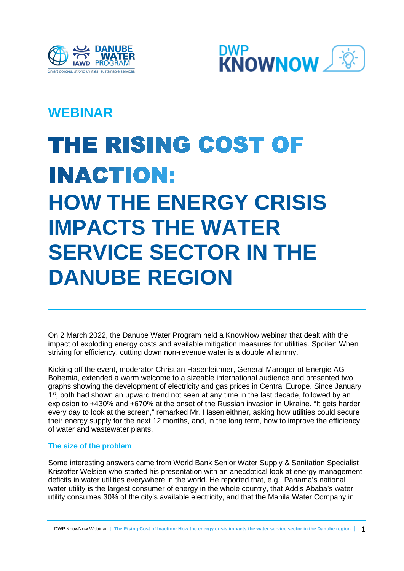



# **WEBINAR**

# THE RISING COST OF **INACTION: HOW THE ENERGY CRISIS IMPACTS THE WATER SERVICE SECTOR IN THE DANUBE REGION**

On 2 March 2022, the Danube Water Program held a KnowNow webinar that dealt with the impact of exploding energy costs and available mitigation measures for utilities. Spoiler: When striving for efficiency, cutting down non-revenue water is a double whammy.

Kicking off the event, moderator Christian Hasenleithner, General Manager of Energie AG Bohemia, extended a warm welcome to a sizeable international audience and presented two graphs showing the development of electricity and gas prices in Central Europe. Since January 1<sup>st</sup>, both had shown an upward trend not seen at any time in the last decade, followed by an explosion to +430% and +670% at the onset of the Russian invasion in Ukraine. "It gets harder every day to look at the screen," remarked Mr. Hasenleithner, asking how utilities could secure their energy supply for the next 12 months, and, in the long term, how to improve the efficiency of water and wastewater plants.

## **The size of the problem**

Some interesting answers came from World Bank Senior Water Supply & Sanitation Specialist Kristoffer Welsien who started his presentation with an anecdotical look at energy management deficits in water utilities everywhere in the world. He reported that, e.g., Panama's national water utility is the largest consumer of energy in the whole country, that Addis Ababa's water utility consumes 30% of the city's available electricity, and that the Manila Water Company in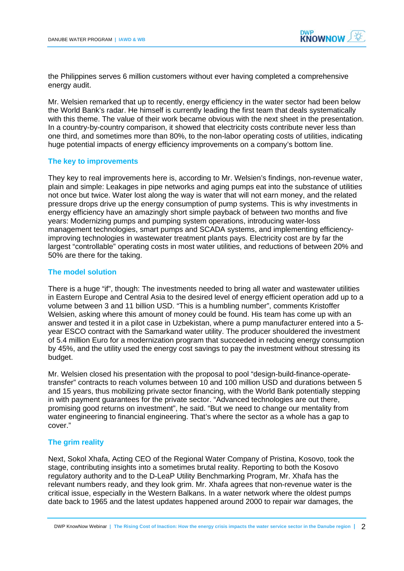

the Philippines serves 6 million customers without ever having completed a comprehensive energy audit.

Mr. Welsien remarked that up to recently, energy efficiency in the water sector had been below the World Bank's radar. He himself is currently leading the first team that deals systematically with this theme. The value of their work became obvious with the next sheet in the presentation. In a country-by-country comparison, it showed that electricity costs contribute never less than one third, and sometimes more than 80%, to the non-labor operating costs of utilities, indicating huge potential impacts of energy efficiency improvements on a company's bottom line.

#### **The key to improvements**

They key to real improvements here is, according to Mr. Welsien's findings, non-revenue water, plain and simple: Leakages in pipe networks and aging pumps eat into the substance of utilities not once but twice. Water lost along the way is water that will not earn money, and the related pressure drops drive up the energy consumption of pump systems. This is why investments in energy efficiency have an amazingly short simple payback of between two months and five years: Modernizing pumps and pumping system operations, introducing water-loss management technologies, smart pumps and SCADA systems, and implementing efficiencyimproving technologies in wastewater treatment plants pays. Electricity cost are by far the largest "controllable" operating costs in most water utilities, and reductions of between 20% and 50% are there for the taking.

#### **The model solution**

There is a huge "if", though: The investments needed to bring all water and wastewater utilities in Eastern Europe and Central Asia to the desired level of energy efficient operation add up to a volume between 3 and 11 billion USD. "This is a humbling number", comments Kristoffer Welsien, asking where this amount of money could be found. His team has come up with an answer and tested it in a pilot case in Uzbekistan, where a pump manufacturer entered into a 5 year ESCO contract with the Samarkand water utility. The producer shouldered the investment of 5.4 million Euro for a modernization program that succeeded in reducing energy consumption by 45%, and the utility used the energy cost savings to pay the investment without stressing its budget.

Mr. Welsien closed his presentation with the proposal to pool "design-build-finance-operatetransfer" contracts to reach volumes between 10 and 100 million USD and durations between 5 and 15 years, thus mobilizing private sector financing, with the World Bank potentially stepping in with payment guarantees for the private sector. "Advanced technologies are out there, promising good returns on investment", he said. "But we need to change our mentality from water engineering to financial engineering. That's where the sector as a whole has a gap to cover."

### **The grim reality**

Next, Sokol Xhafa, Acting CEO of the Regional Water Company of Pristina, Kosovo, took the stage, contributing insights into a sometimes brutal reality. Reporting to both the Kosovo regulatory authority and to the D-LeaP Utility Benchmarking Program, Mr. Xhafa has the relevant numbers ready, and they look grim. Mr. Xhafa agrees that non-revenue water is the critical issue, especially in the Western Balkans. In a water network where the oldest pumps date back to 1965 and the latest updates happened around 2000 to repair war damages, the